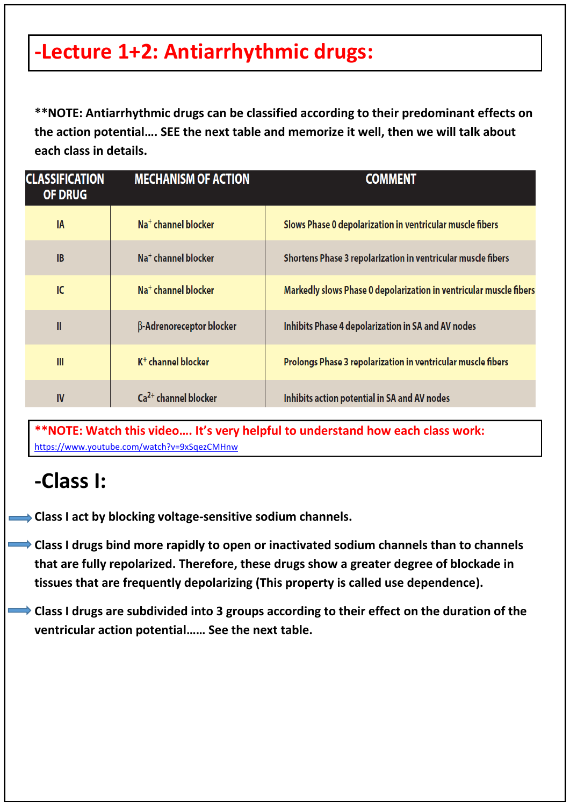## **-Lecture 1+2: Antiarrhythmic drugs:**

**\*\*NOTE: Antiarrhythmic drugs can be classified according to their predominant effects on the action potential…. SEE the next table and memorize it well, then we will talk about each class in details.**

| <b>CLASSIFICATION</b><br><b>OF DRUG</b> | <b>MECHANISM OF ACTION</b>      | <b>COMMENT</b>                                                     |
|-----------------------------------------|---------------------------------|--------------------------------------------------------------------|
| <b>IA</b>                               | Na <sup>+</sup> channel blocker | Slows Phase 0 depolarization in ventricular muscle fibers          |
| <b>IB</b>                               | Na <sup>+</sup> channel blocker | Shortens Phase 3 repolarization in ventricular muscle fibers       |
| IC                                      | Na <sup>+</sup> channel blocker | Markedly slows Phase 0 depolarization in ventricular muscle fibers |
| $\mathbf{II}$                           | β-Adrenoreceptor blocker        | Inhibits Phase 4 depolarization in SA and AV nodes                 |
| III                                     | $K^+$ channel blocker           | Prolongs Phase 3 repolarization in ventricular muscle fibers       |
| IV                                      | $Ca2+ channel blocker$          | Inhibits action potential in SA and AV nodes                       |

**\*\*NOTE: Watch this video…. It's very helpful to understand how each class work:**  <https://www.youtube.com/watch?v=9xSqezCMHnw>

### **-Class I:**

**Class I act by blocking voltage-sensitive sodium channels.** 

- **Class I drugs bind more rapidly to open or inactivated sodium channels than to channels that are fully repolarized. Therefore, these drugs show a greater degree of blockade in tissues that are frequently depolarizing (This property is called use dependence).**
	- **Class I drugs are subdivided into 3 groups according to their effect on the duration of the ventricular action potential…… See the next table.**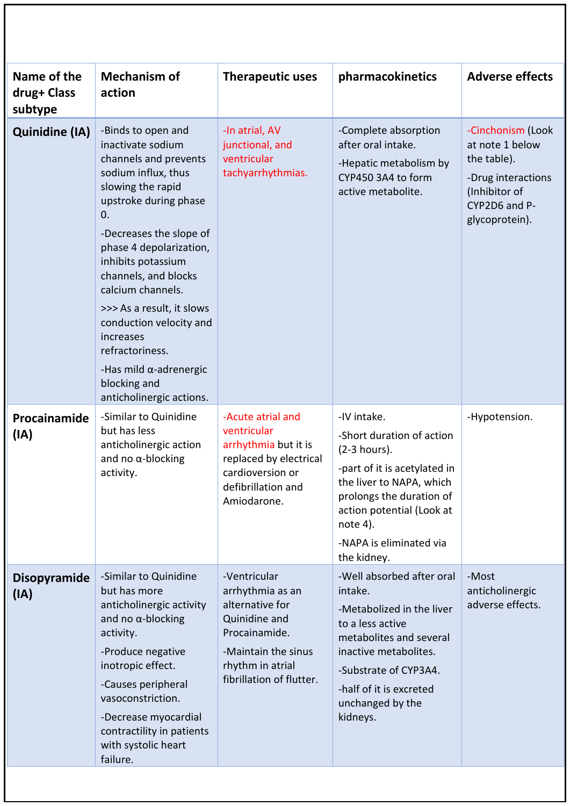| Name of the<br>drug+ Class<br>subtype | <b>Mechanism of</b><br>action                                                                                                                                                                                                                                                                                                                                                                                                              | <b>Therapeutic uses</b>                                                                                                                                      | pharmacokinetics                                                                                                                                                                                                                    | <b>Adverse effects</b>                                                                                                        |
|---------------------------------------|--------------------------------------------------------------------------------------------------------------------------------------------------------------------------------------------------------------------------------------------------------------------------------------------------------------------------------------------------------------------------------------------------------------------------------------------|--------------------------------------------------------------------------------------------------------------------------------------------------------------|-------------------------------------------------------------------------------------------------------------------------------------------------------------------------------------------------------------------------------------|-------------------------------------------------------------------------------------------------------------------------------|
| <b>Quinidine (IA)</b>                 | -Binds to open and<br>inactivate sodium<br>channels and prevents<br>sodium influx, thus<br>slowing the rapid<br>upstroke during phase<br>0.<br>-Decreases the slope of<br>phase 4 depolarization,<br>inhibits potassium<br>channels, and blocks<br>calcium channels.<br>>>> As a result, it slows<br>conduction velocity and<br>increases<br>refractoriness.<br>-Has mild $\alpha$ -adrenergic<br>blocking and<br>anticholinergic actions. | -In atrial, AV<br>junctional, and<br>ventricular<br>tachyarrhythmias.                                                                                        | -Complete absorption<br>after oral intake.<br>-Hepatic metabolism by<br>CYP450 3A4 to form<br>active metabolite.                                                                                                                    | -Cinchonism (Look<br>at note 1 below<br>the table).<br>-Drug interactions<br>(Inhibitor of<br>CYP2D6 and P-<br>glycoprotein). |
| Procainamide<br>(IA)                  | -Similar to Quinidine<br>but has less<br>anticholinergic action<br>and no $\alpha$ -blocking<br>activity.                                                                                                                                                                                                                                                                                                                                  | -Acute atrial and<br>ventricular<br>arrhythmia but it is<br>replaced by electrical<br>cardioversion or<br>defibrillation and<br>Amiodarone.                  | -IV intake.<br>-Short duration of action<br>(2-3 hours).<br>-part of it is acetylated in<br>the liver to NAPA, which<br>prolongs the duration of<br>action potential (Look at<br>note 4).<br>-NAPA is eliminated via<br>the kidney. | -Hypotension.                                                                                                                 |
| <b>Disopyramide</b><br>(IA)           | -Similar to Quinidine<br>but has more<br>anticholinergic activity<br>and no $\alpha$ -blocking<br>activity.<br>-Produce negative<br>inotropic effect.<br>-Causes peripheral<br>vasoconstriction.<br>-Decrease myocardial<br>contractility in patients<br>with systolic heart<br>failure.                                                                                                                                                   | -Ventricular<br>arrhythmia as an<br>alternative for<br>Quinidine and<br>Procainamide.<br>-Maintain the sinus<br>rhythm in atrial<br>fibrillation of flutter. | -Well absorbed after oral<br>intake.<br>-Metabolized in the liver<br>to a less active<br>metabolites and several<br>inactive metabolites.<br>-Substrate of CYP3A4.<br>-half of it is excreted<br>unchanged by the<br>kidneys.       | -Most<br>anticholinergic<br>adverse effects.                                                                                  |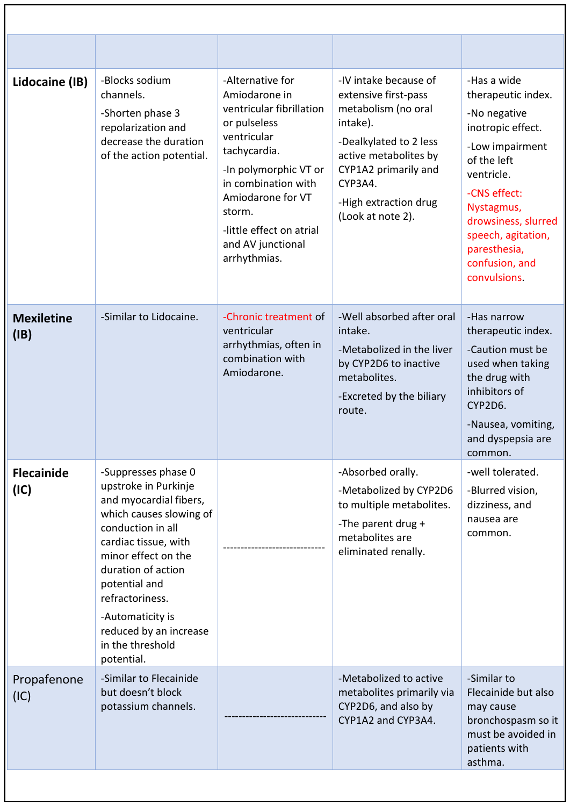| Lidocaine (IB)            | -Blocks sodium<br>channels.<br>-Shorten phase 3<br>repolarization and<br>decrease the duration<br>of the action potential.                                                                                                                                                                                     | -Alternative for<br>Amiodarone in<br>ventricular fibrillation<br>or pulseless<br>ventricular<br>tachycardia.<br>-In polymorphic VT or<br>in combination with<br>Amiodarone for VT<br>storm.<br>-little effect on atrial<br>and AV junctional<br>arrhythmias. | -IV intake because of<br>extensive first-pass<br>metabolism (no oral<br>intake).<br>-Dealkylated to 2 less<br>active metabolites by<br>CYP1A2 primarily and<br>CYP3A4.<br>-High extraction drug<br>(Look at note 2). | -Has a wide<br>therapeutic index.<br>-No negative<br>inotropic effect.<br>-Low impairment<br>of the left<br>ventricle.<br>-CNS effect:<br>Nystagmus,<br>drowsiness, slurred<br>speech, agitation,<br>paresthesia,<br>confusion, and<br>convulsions. |
|---------------------------|----------------------------------------------------------------------------------------------------------------------------------------------------------------------------------------------------------------------------------------------------------------------------------------------------------------|--------------------------------------------------------------------------------------------------------------------------------------------------------------------------------------------------------------------------------------------------------------|----------------------------------------------------------------------------------------------------------------------------------------------------------------------------------------------------------------------|-----------------------------------------------------------------------------------------------------------------------------------------------------------------------------------------------------------------------------------------------------|
| <b>Mexiletine</b><br>(IB) | -Similar to Lidocaine.                                                                                                                                                                                                                                                                                         | -Chronic treatment of<br>ventricular<br>arrhythmias, often in<br>combination with<br>Amiodarone.                                                                                                                                                             | -Well absorbed after oral<br>intake.<br>-Metabolized in the liver<br>by CYP2D6 to inactive<br>metabolites.<br>-Excreted by the biliary<br>route.                                                                     | -Has narrow<br>therapeutic index.<br>-Caution must be<br>used when taking<br>the drug with<br>inhibitors of<br>CYP2D6.<br>-Nausea, vomiting,<br>and dyspepsia are<br>common.                                                                        |
| <b>Flecainide</b><br>(IC) | -Suppresses phase 0<br>upstroke in Purkinje<br>and myocardial fibers,<br>which causes slowing of<br>conduction in all<br>cardiac tissue, with<br>minor effect on the<br>duration of action<br>potential and<br>refractoriness.<br>-Automaticity is<br>reduced by an increase<br>in the threshold<br>potential. |                                                                                                                                                                                                                                                              | -Absorbed orally.<br>-Metabolized by CYP2D6<br>to multiple metabolites.<br>-The parent drug +<br>metabolites are<br>eliminated renally.                                                                              | -well tolerated.<br>-Blurred vision,<br>dizziness, and<br>nausea are<br>common.                                                                                                                                                                     |
| Propafenone<br>(IC)       | -Similar to Flecainide<br>but doesn't block<br>potassium channels.                                                                                                                                                                                                                                             |                                                                                                                                                                                                                                                              | -Metabolized to active<br>metabolites primarily via<br>CYP2D6, and also by<br>CYP1A2 and CYP3A4.                                                                                                                     | -Similar to<br>Flecainide but also<br>may cause<br>bronchospasm so it<br>must be avoided in<br>patients with<br>asthma.                                                                                                                             |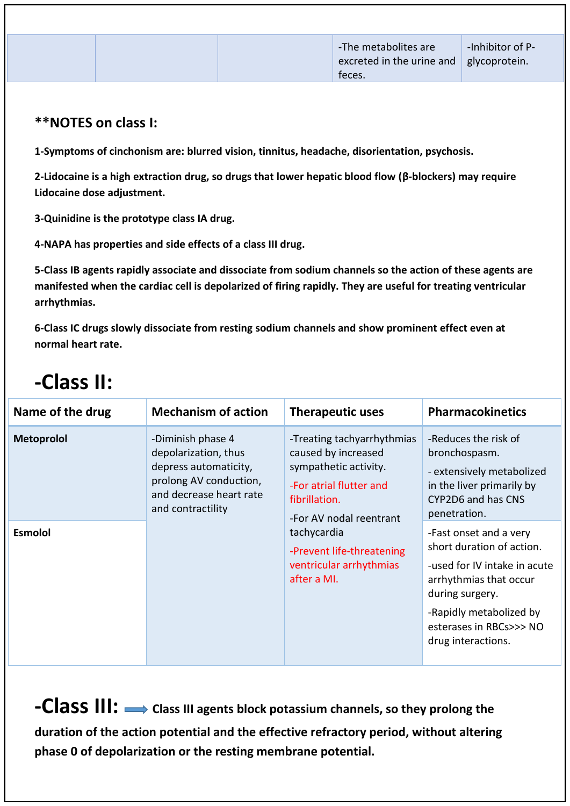### **\*\*NOTES on class I:**

**1-Symptoms of cinchonism are: blurred vision, tinnitus, headache, disorientation, psychosis.**

**2-Lidocaine is a high extraction drug, so drugs that lower hepatic blood flow (β-blockers) may require Lidocaine dose adjustment.**

**3-Quinidine is the prototype class IA drug.**

**4-NAPA has properties and side effects of a class III drug.**

**5-Class IB agents rapidly associate and dissociate from sodium channels so the action of these agents are manifested when the cardiac cell is depolarized of firing rapidly. They are useful for treating ventricular arrhythmias.**

**6-Class IC drugs slowly dissociate from resting sodium channels and show prominent effect even at normal heart rate.**

## **-Class II:**

| Name of the drug  | <b>Mechanism of action</b>                                                                                                                   | <b>Therapeutic uses</b>                                                                                                                           | <b>Pharmacokinetics</b>                                                                                                                                                                                      |
|-------------------|----------------------------------------------------------------------------------------------------------------------------------------------|---------------------------------------------------------------------------------------------------------------------------------------------------|--------------------------------------------------------------------------------------------------------------------------------------------------------------------------------------------------------------|
| <b>Metoprolol</b> | -Diminish phase 4<br>depolarization, thus<br>depress automaticity,<br>prolong AV conduction,<br>and decrease heart rate<br>and contractility | -Treating tachyarrhythmias<br>caused by increased<br>sympathetic activity.<br>-For atrial flutter and<br>fibrillation.<br>-For AV nodal reentrant | -Reduces the risk of<br>bronchospasm.<br>- extensively metabolized<br>in the liver primarily by<br>CYP2D6 and has CNS<br>penetration.                                                                        |
| <b>Esmolol</b>    |                                                                                                                                              | tachycardia<br>-Prevent life-threatening<br>ventricular arrhythmias<br>after a MI.                                                                | -Fast onset and a very<br>short duration of action.<br>-used for IV intake in acute<br>arrhythmias that occur<br>during surgery.<br>-Rapidly metabolized by<br>esterases in RBCs>>> NO<br>drug interactions. |

**-Class III:**  $\rightarrow$  Class III agents block potassium channels, so they prolong the **duration of the action potential and the effective refractory period, without altering phase 0 of depolarization or the resting membrane potential.**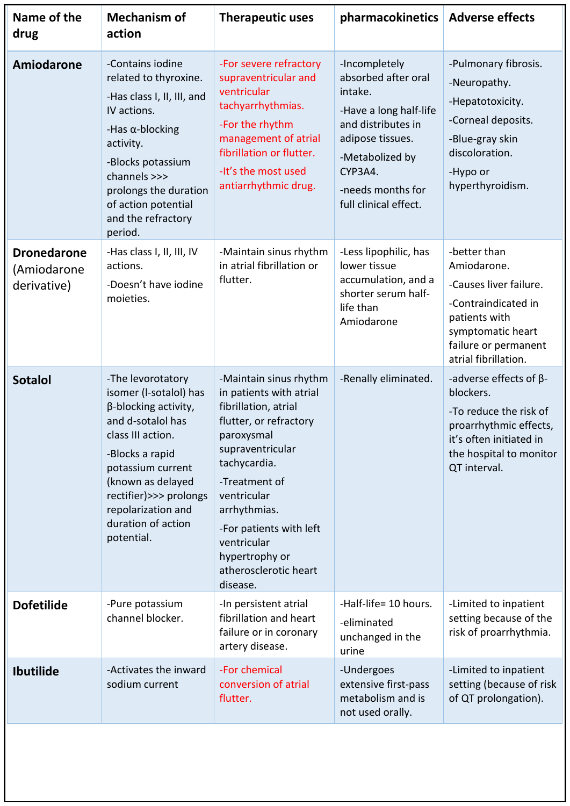| Name of the<br>drug                              | <b>Mechanism of</b><br>action                                                                                                                                                                                                                                         | <b>Therapeutic uses</b>                                                                                                                                                                                                                                                                                | pharmacokinetics                                                                                                                                                                                | <b>Adverse effects</b>                                                                                                                                               |
|--------------------------------------------------|-----------------------------------------------------------------------------------------------------------------------------------------------------------------------------------------------------------------------------------------------------------------------|--------------------------------------------------------------------------------------------------------------------------------------------------------------------------------------------------------------------------------------------------------------------------------------------------------|-------------------------------------------------------------------------------------------------------------------------------------------------------------------------------------------------|----------------------------------------------------------------------------------------------------------------------------------------------------------------------|
| <b>Amiodarone</b>                                | -Contains iodine<br>related to thyroxine.<br>-Has class I, II, III, and<br>IV actions.<br>-Has $\alpha$ -blocking<br>activity.<br>-Blocks potassium<br>channels >>><br>prolongs the duration<br>of action potential<br>and the refractory<br>period.                  | -For severe refractory<br>supraventricular and<br>ventricular<br>tachyarrhythmias.<br>-For the rhythm<br>management of atrial<br>fibrillation or flutter.<br>-It's the most used<br>antiarrhythmic drug.                                                                                               | -Incompletely<br>absorbed after oral<br>intake.<br>-Have a long half-life<br>and distributes in<br>adipose tissues.<br>-Metabolized by<br>CYP3A4.<br>-needs months for<br>full clinical effect. | -Pulmonary fibrosis.<br>-Neuropathy.<br>-Hepatotoxicity.<br>-Corneal deposits.<br>-Blue-gray skin<br>discoloration.<br>-Hypo or<br>hyperthyroidism.                  |
| <b>Dronedarone</b><br>(Amiodarone<br>derivative) | -Has class I, II, III, IV<br>actions.<br>-Doesn't have iodine<br>moieties.                                                                                                                                                                                            | -Maintain sinus rhythm<br>in atrial fibrillation or<br>flutter.                                                                                                                                                                                                                                        | -Less lipophilic, has<br>lower tissue<br>accumulation, and a<br>shorter serum half-<br>life than<br>Amiodarone                                                                                  | -better than<br>Amiodarone.<br>-Causes liver failure.<br>-Contraindicated in<br>patients with<br>symptomatic heart<br>failure or permanent<br>atrial fibrillation.   |
| <b>Sotalol</b>                                   | -The levorotatory<br>isomer (I-sotalol) has<br>$\beta$ -blocking activity,<br>and d-sotalol has<br>class III action.<br>-Blocks a rapid<br>potassium current<br>(known as delayed<br>rectifier)>>> prolongs<br>repolarization and<br>duration of action<br>potential. | -Maintain sinus rhythm<br>in patients with atrial<br>fibrillation, atrial<br>flutter, or refractory<br>paroxysmal<br>supraventricular<br>tachycardia.<br>-Treatment of<br>ventricular<br>arrhythmias.<br>-For patients with left<br>ventricular<br>hypertrophy or<br>atherosclerotic heart<br>disease. | -Renally eliminated.                                                                                                                                                                            | -adverse effects of $\beta$ -<br>blockers.<br>-To reduce the risk of<br>proarrhythmic effects,<br>it's often initiated in<br>the hospital to monitor<br>QT interval. |
| <b>Dofetilide</b>                                | -Pure potassium<br>channel blocker.                                                                                                                                                                                                                                   | -In persistent atrial<br>fibrillation and heart<br>failure or in coronary<br>artery disease.                                                                                                                                                                                                           | -Half-life= 10 hours.<br>-eliminated<br>unchanged in the<br>urine                                                                                                                               | -Limited to inpatient<br>setting because of the<br>risk of proarrhythmia.                                                                                            |
| <b>Ibutilide</b>                                 | -Activates the inward<br>sodium current                                                                                                                                                                                                                               | -For chemical<br>conversion of atrial<br>flutter.                                                                                                                                                                                                                                                      | -Undergoes<br>extensive first-pass<br>metabolism and is<br>not used orally.                                                                                                                     | -Limited to inpatient<br>setting (because of risk<br>of QT prolongation).                                                                                            |
|                                                  |                                                                                                                                                                                                                                                                       |                                                                                                                                                                                                                                                                                                        |                                                                                                                                                                                                 |                                                                                                                                                                      |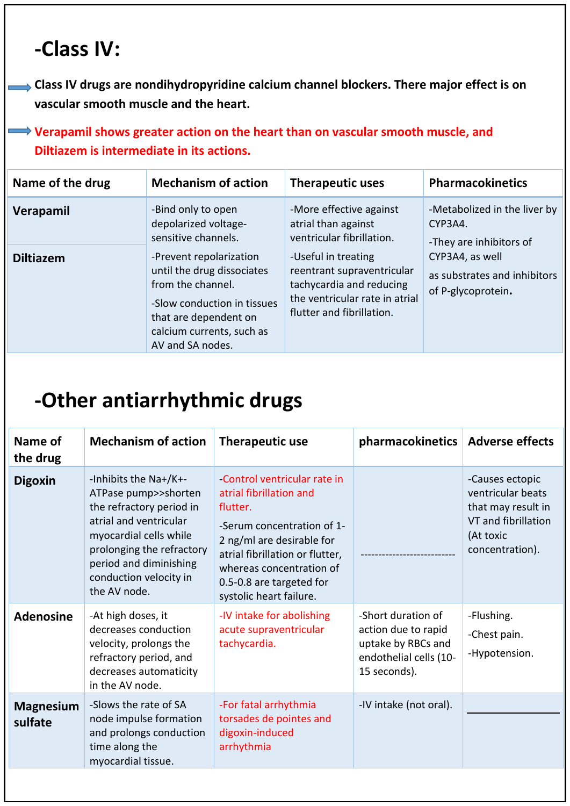## **-Class IV:**

**Class IV drugs are nondihydropyridine calcium channel blockers. There major effect is on vascular smooth muscle and the heart.**

**Werapamil shows greater action on the heart than on vascular smooth muscle, and Diltiazem is intermediate in its actions.**

| Name of the drug | <b>Mechanism of action</b>                                                                                                                                                          | <b>Therapeutic uses</b>                                                                                                                      | <b>Pharmacokinetics</b>                                               |
|------------------|-------------------------------------------------------------------------------------------------------------------------------------------------------------------------------------|----------------------------------------------------------------------------------------------------------------------------------------------|-----------------------------------------------------------------------|
| Verapamil        | -Bind only to open<br>depolarized voltage-<br>sensitive channels.                                                                                                                   | -More effective against<br>atrial than against<br>ventricular fibrillation.                                                                  | -Metabolized in the liver by<br>CYP3A4.<br>-They are inhibitors of    |
| <b>Diltiazem</b> | -Prevent repolarization<br>until the drug dissociates<br>from the channel.<br>-Slow conduction in tissues<br>that are dependent on<br>calcium currents, such as<br>AV and SA nodes. | -Useful in treating<br>reentrant supraventricular<br>tachycardia and reducing<br>the ventricular rate in atrial<br>flutter and fibrillation. | CYP3A4, as well<br>as substrates and inhibitors<br>of P-glycoprotein. |

## **-Other antiarrhythmic drugs**

| Name of<br>the drug         | <b>Mechanism of action</b>                                                                                                                                                                                                     | <b>Therapeutic use</b>                                                                                                                                                                                                                              | pharmacokinetics                                                                                          | <b>Adverse effects</b>                                                                                            |
|-----------------------------|--------------------------------------------------------------------------------------------------------------------------------------------------------------------------------------------------------------------------------|-----------------------------------------------------------------------------------------------------------------------------------------------------------------------------------------------------------------------------------------------------|-----------------------------------------------------------------------------------------------------------|-------------------------------------------------------------------------------------------------------------------|
| <b>Digoxin</b>              | -Inhibits the Na+/K+-<br>ATPase pump>>shorten<br>the refractory period in<br>atrial and ventricular<br>myocardial cells while<br>prolonging the refractory<br>period and diminishing<br>conduction velocity in<br>the AV node. | Control ventricular rate in<br>atrial fibrillation and<br>flutter.<br>-Serum concentration of 1-<br>2 ng/ml are desirable for<br>atrial fibrillation or flutter,<br>whereas concentration of<br>0.5-0.8 are targeted for<br>systolic heart failure. |                                                                                                           | -Causes ectopic<br>ventricular beats<br>that may result in<br>VT and fibrillation<br>(At toxic<br>concentration). |
| <b>Adenosine</b>            | -At high doses, it<br>decreases conduction<br>velocity, prolongs the<br>refractory period, and<br>decreases automaticity<br>in the AV node.                                                                                    | -IV intake for abolishing<br>acute supraventricular<br>tachycardia.                                                                                                                                                                                 | -Short duration of<br>action due to rapid<br>uptake by RBCs and<br>endothelial cells (10-<br>15 seconds). | -Flushing.<br>-Chest pain.<br>-Hypotension.                                                                       |
| <b>Magnesium</b><br>sulfate | -Slows the rate of SA<br>node impulse formation<br>and prolongs conduction<br>time along the<br>myocardial tissue.                                                                                                             | -For fatal arrhythmia<br>torsades de pointes and<br>digoxin-induced<br>arrhythmia                                                                                                                                                                   | -IV intake (not oral).                                                                                    |                                                                                                                   |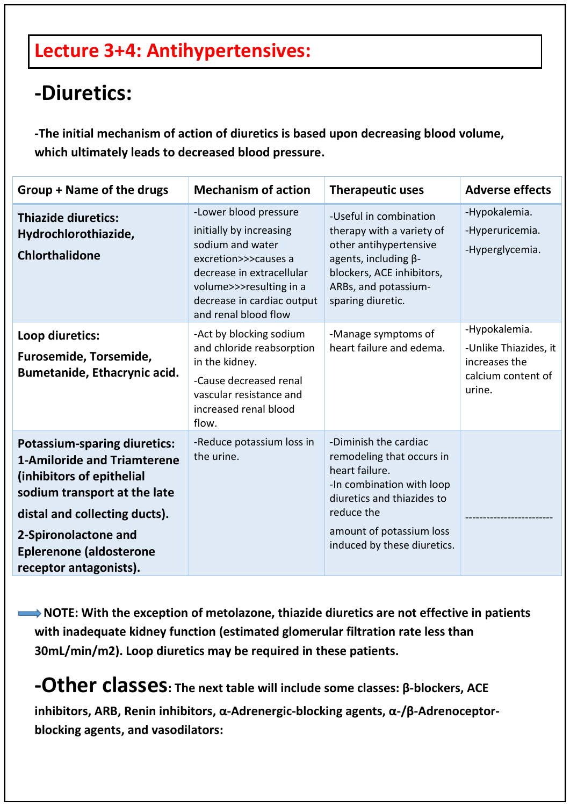### **Lecture 3+4: Antihypertensives:**

### **-Diuretics:**

**-The initial mechanism of action of diuretics is based upon decreasing blood volume, which ultimately leads to decreased blood pressure.**

| Group + Name of the drugs                                                                                                                                                                                                                                   | <b>Mechanism of action</b>                                                                                                                                                                                 | <b>Therapeutic uses</b>                                                                                                                                                                                  | <b>Adverse effects</b>                                                                  |
|-------------------------------------------------------------------------------------------------------------------------------------------------------------------------------------------------------------------------------------------------------------|------------------------------------------------------------------------------------------------------------------------------------------------------------------------------------------------------------|----------------------------------------------------------------------------------------------------------------------------------------------------------------------------------------------------------|-----------------------------------------------------------------------------------------|
| <b>Thiazide diuretics:</b><br>Hydrochlorothiazide,<br><b>Chlorthalidone</b>                                                                                                                                                                                 | -Lower blood pressure<br>initially by increasing<br>sodium and water<br>excretion>>>causes a<br>decrease in extracellular<br>volume>>>resulting in a<br>decrease in cardiac output<br>and renal blood flow | -Useful in combination<br>therapy with a variety of<br>other antihypertensive<br>agents, including $\beta$ -<br>blockers, ACE inhibitors,<br>ARBs, and potassium-<br>sparing diuretic.                   | -Hypokalemia.<br>-Hyperuricemia.<br>-Hyperglycemia.                                     |
| Loop diuretics:<br>Furosemide, Torsemide,<br>Bumetanide, Ethacrynic acid.                                                                                                                                                                                   | -Act by blocking sodium<br>and chloride reabsorption<br>in the kidney.<br>-Cause decreased renal<br>vascular resistance and<br>increased renal blood<br>flow.                                              | -Manage symptoms of<br>heart failure and edema.                                                                                                                                                          | -Hypokalemia.<br>-Unlike Thiazides, it<br>increases the<br>calcium content of<br>urine. |
| <b>Potassium-sparing diuretics:</b><br><b>1-Amiloride and Triamterene</b><br>(inhibitors of epithelial<br>sodium transport at the late<br>distal and collecting ducts).<br>2-Spironolactone and<br><b>Eplerenone (aldosterone</b><br>receptor antagonists). | -Reduce potassium loss in<br>the urine.                                                                                                                                                                    | -Diminish the cardiac<br>remodeling that occurs in<br>heart failure.<br>-In combination with loop<br>diuretics and thiazides to<br>reduce the<br>amount of potassium loss<br>induced by these diuretics. |                                                                                         |

 **NOTE: With the exception of metolazone, thiazide diuretics are not effective in patients with inadequate kidney function (estimated glomerular filtration rate less than 30mL/min/m2). Loop diuretics may be required in these patients.**

**-Other classes: The next table will include some classes: <sup>β</sup>-blockers, ACE inhibitors, ARB, Renin inhibitors, α-Adrenergic-blocking agents, α-/β-Adrenoceptorblocking agents, and vasodilators:**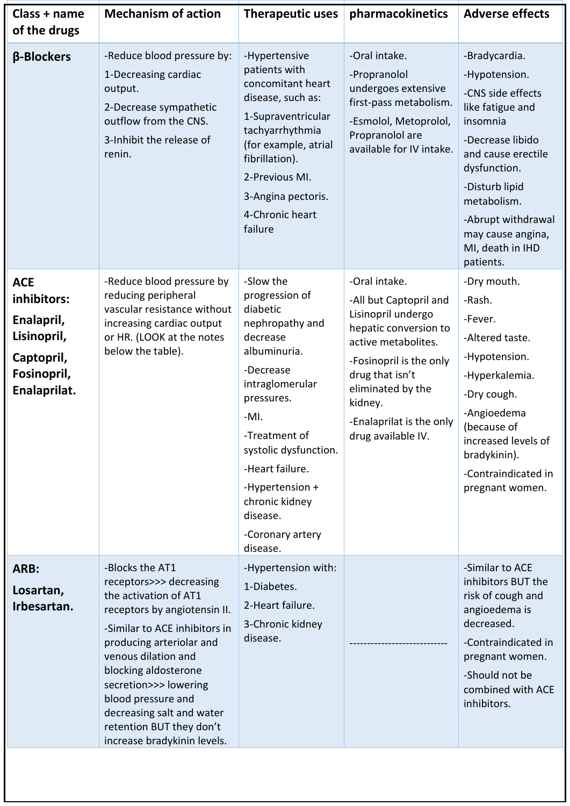| Class + name<br>of the drugs                                                                        | <b>Mechanism of action</b>                                                                                                                                                                                                                                                                                                                             | <b>Therapeutic uses</b>                                                                                                                                                                                                                                                                      | pharmacokinetics                                                                                                                                                                                                                              | <b>Adverse effects</b>                                                                                                                                                                                                                                     |
|-----------------------------------------------------------------------------------------------------|--------------------------------------------------------------------------------------------------------------------------------------------------------------------------------------------------------------------------------------------------------------------------------------------------------------------------------------------------------|----------------------------------------------------------------------------------------------------------------------------------------------------------------------------------------------------------------------------------------------------------------------------------------------|-----------------------------------------------------------------------------------------------------------------------------------------------------------------------------------------------------------------------------------------------|------------------------------------------------------------------------------------------------------------------------------------------------------------------------------------------------------------------------------------------------------------|
| β-Blockers                                                                                          | -Reduce blood pressure by:<br>1-Decreasing cardiac<br>output.<br>2-Decrease sympathetic<br>outflow from the CNS.<br>3-Inhibit the release of<br>renin.                                                                                                                                                                                                 | -Hypertensive<br>patients with<br>concomitant heart<br>disease, such as:<br>1-Supraventricular<br>tachyarrhythmia<br>(for example, atrial<br>fibrillation).<br>2-Previous MI.<br>3-Angina pectoris.<br>4-Chronic heart<br>failure                                                            | -Oral intake.<br>-Propranolol<br>undergoes extensive<br>first-pass metabolism.<br>-Esmolol, Metoprolol,<br>Propranolol are<br>available for IV intake.                                                                                        | -Bradycardia.<br>-Hypotension.<br>-CNS side effects<br>like fatigue and<br>insomnia<br>-Decrease libido<br>and cause erectile<br>dysfunction.<br>-Disturb lipid<br>metabolism.<br>-Abrupt withdrawal<br>may cause angina,<br>MI, death in IHD<br>patients. |
| <b>ACE</b><br>inhibitors:<br>Enalapril,<br>Lisinopril,<br>Captopril,<br>Fosinopril,<br>Enalaprilat. | -Reduce blood pressure by<br>reducing peripheral<br>vascular resistance without<br>increasing cardiac output<br>or HR. (LOOK at the notes<br>below the table).                                                                                                                                                                                         | -Slow the<br>progression of<br>diabetic<br>nephropathy and<br>decrease<br>albuminuria.<br>-Decrease<br>intraglomerular<br>pressures.<br>$-MI.$<br>-Treatment of<br>systolic dysfunction.<br>-Heart failure.<br>-Hypertension +<br>chronic kidney<br>disease.<br>-Coronary artery<br>disease. | -Oral intake.<br>-All but Captopril and<br>Lisinopril undergo<br>hepatic conversion to<br>active metabolites.<br>-Fosinopril is the only<br>drug that isn't<br>eliminated by the<br>kidney.<br>-Enalaprilat is the only<br>drug available IV. | -Dry mouth.<br>-Rash.<br>-Fever.<br>-Altered taste.<br>-Hypotension.<br>-Hyperkalemia.<br>-Dry cough.<br>-Angioedema<br>(because of<br>increased levels of<br>bradykinin).<br>-Contraindicated in<br>pregnant women.                                       |
| ARB:<br>Losartan,<br>Irbesartan.                                                                    | -Blocks the AT1<br>receptors>>> decreasing<br>the activation of AT1<br>receptors by angiotensin II.<br>-Similar to ACE inhibitors in<br>producing arteriolar and<br>venous dilation and<br>blocking aldosterone<br>secretion>>> lowering<br>blood pressure and<br>decreasing salt and water<br>retention BUT they don't<br>increase bradykinin levels. | -Hypertension with:<br>1-Diabetes.<br>2-Heart failure.<br>3-Chronic kidney<br>disease.                                                                                                                                                                                                       |                                                                                                                                                                                                                                               | -Similar to ACE<br>inhibitors BUT the<br>risk of cough and<br>angioedema is<br>decreased.<br>-Contraindicated in<br>pregnant women.<br>-Should not be<br>combined with ACE<br>inhibitors.                                                                  |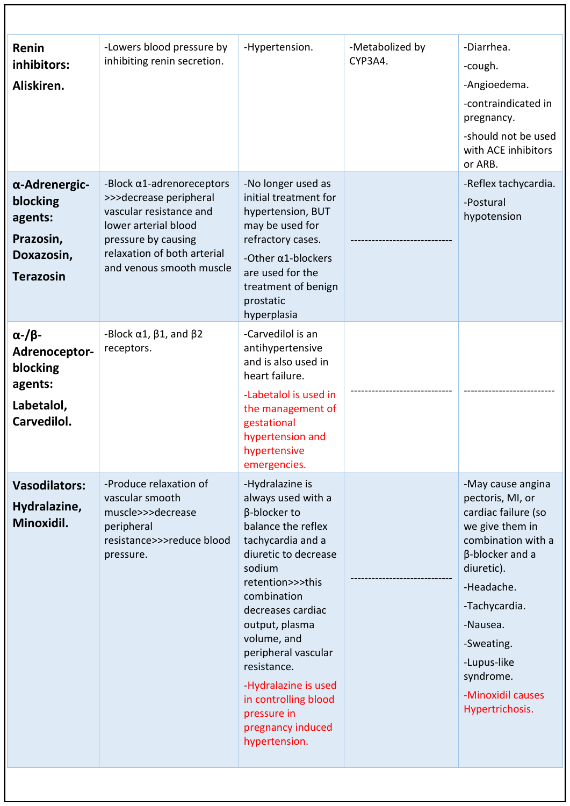| Renin<br>inhibitors:<br>Aliskiren.                                                         | -Lowers blood pressure by<br>inhibiting renin secretion.                                                                                                                                         | -Hypertension.                                                                                                                                                                                                                                                                                                                                                        | -Metabolized by<br>CYP3A4. | -Diarrhea.<br>-cough.<br>-Angioedema.<br>-contraindicated in<br>pregnancy.<br>-should not be used<br>with ACE inhibitors<br>or ARB.                                                                                                                                 |
|--------------------------------------------------------------------------------------------|--------------------------------------------------------------------------------------------------------------------------------------------------------------------------------------------------|-----------------------------------------------------------------------------------------------------------------------------------------------------------------------------------------------------------------------------------------------------------------------------------------------------------------------------------------------------------------------|----------------------------|---------------------------------------------------------------------------------------------------------------------------------------------------------------------------------------------------------------------------------------------------------------------|
| α-Adrenergic-<br>blocking<br>agents:<br>Prazosin,<br>Doxazosin,<br><b>Terazosin</b>        | -Block $\alpha$ 1-adrenoreceptors<br>>>>decrease peripheral<br>vascular resistance and<br>lower arterial blood<br>pressure by causing<br>relaxation of both arterial<br>and venous smooth muscle | -No longer used as<br>initial treatment for<br>hypertension, BUT<br>may be used for<br>refractory cases.<br>-Other $\alpha$ 1-blockers<br>are used for the<br>treatment of benign<br>prostatic<br>hyperplasia                                                                                                                                                         |                            | -Reflex tachycardia.<br>-Postural<br>hypotension                                                                                                                                                                                                                    |
| $\alpha$ -/ $\beta$ -<br>Adrenoceptor-<br>blocking<br>agents:<br>Labetalol,<br>Carvedilol. | -Block $\alpha$ 1, $\beta$ 1, and $\beta$ 2<br>receptors.                                                                                                                                        | -Carvedilol is an<br>antihypertensive<br>and is also used in<br>heart failure.<br>-Labetalol is used in<br>the management of<br>gestational<br>hypertension and<br>hypertensive<br>emergencies.                                                                                                                                                                       |                            |                                                                                                                                                                                                                                                                     |
| <b>Vasodilators:</b><br>Hydralazine,<br>Minoxidil.                                         | -Produce relaxation of<br>vascular smooth<br>muscle>>>decrease<br>peripheral<br>resistance>>>reduce blood<br>pressure.                                                                           | -Hydralazine is<br>always used with a<br>β-blocker to<br>balance the reflex<br>tachycardia and a<br>diuretic to decrease<br>sodium<br>retention>>>this<br>combination<br>decreases cardiac<br>output, plasma<br>volume, and<br>peripheral vascular<br>resistance.<br>Hydralazine is used<br>in controlling blood<br>pressure in<br>pregnancy induced<br>hypertension. |                            | -May cause angina<br>pectoris, MI, or<br>cardiac failure (so<br>we give them in<br>combination with a<br>β-blocker and a<br>diuretic).<br>-Headache.<br>-Tachycardia.<br>-Nausea.<br>-Sweating.<br>-Lupus-like<br>syndrome.<br>-Minoxidil causes<br>Hypertrichosis. |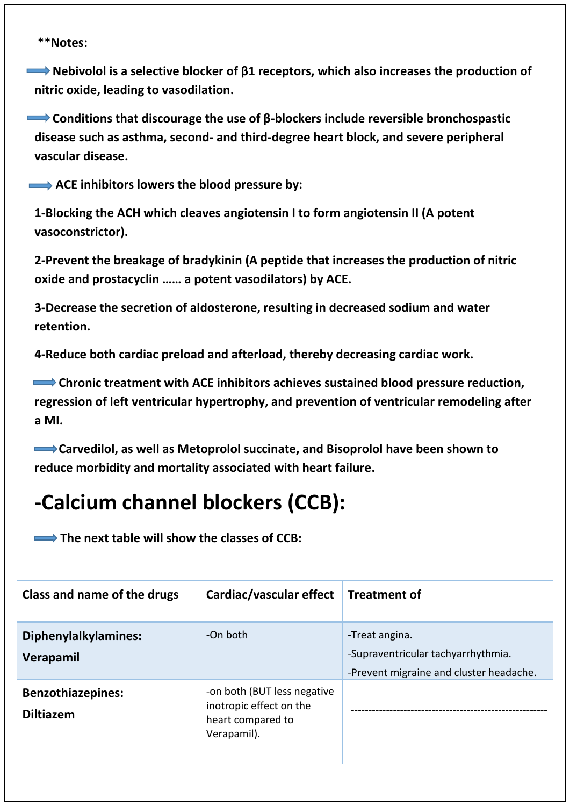**Nebivolol is a selective blocker of β1 receptors, which also increases the production of nitric oxide, leading to vasodilation.**

 **Conditions that discourage the use of β-blockers include reversible bronchospastic disease such as asthma, second- and third-degree heart block, and severe peripheral vascular disease.**

ACE inhibitors lowers the blood pressure by:

**1-Blocking the ACH which cleaves angiotensin I to form angiotensin II (A potent vasoconstrictor).**

**2-Prevent the breakage of bradykinin (A peptide that increases the production of nitric oxide and prostacyclin …… a potent vasodilators) by ACE.**

**3-Decrease the secretion of aldosterone, resulting in decreased sodium and water retention.**

**4-Reduce both cardiac preload and afterload, thereby decreasing cardiac work.**

 **Chronic treatment with ACE inhibitors achieves sustained blood pressure reduction, regression of left ventricular hypertrophy, and prevention of ventricular remodeling after a MI.**

 **Carvedilol, as well as Metoprolol succinate, and Bisoprolol have been shown to reduce morbidity and mortality associated with heart failure.**

### **-Calcium channel blockers (CCB):**

**Example 2 The next table will show the classes of CCB:** 

| Class and name of the drugs                  | Cardiac/vascular effect Treatment of                                                       |                                                                                                 |
|----------------------------------------------|--------------------------------------------------------------------------------------------|-------------------------------------------------------------------------------------------------|
| Diphenylalkylamines:<br>Verapamil            | -On both                                                                                   | -Treat angina.<br>-Supraventricular tachyarrhythmia.<br>-Prevent migraine and cluster headache. |
| <b>Benzothiazepines:</b><br><b>Diltiazem</b> | -on both (BUT less negative<br>inotropic effect on the<br>heart compared to<br>Verapamil). |                                                                                                 |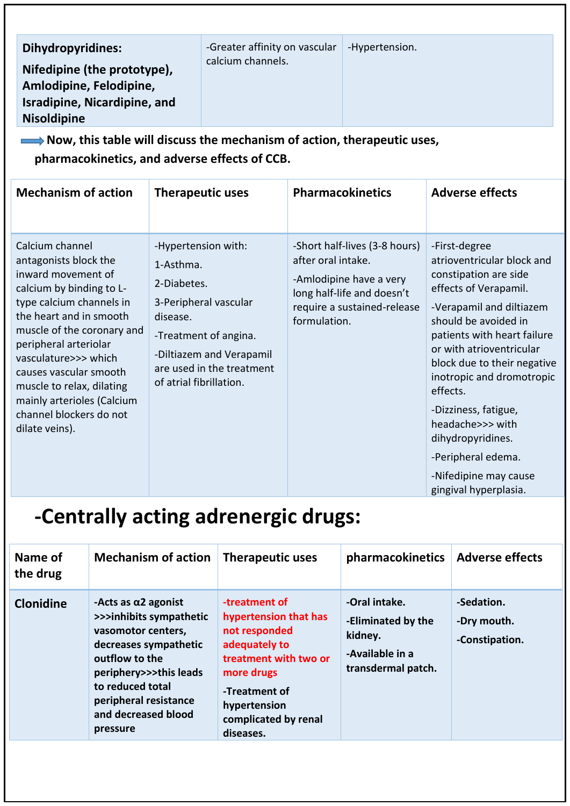| <b>Dihydropyridines:</b><br>Nifedipine (the prototype),<br>Amlodipine, Felodipine,<br><b>Isradipine, Nicardipine, and</b><br><b>Nisoldipine</b><br>$\longrightarrow$ Now, this table will discuss the mechanism of action, therapeutic uses,<br>pharmacokinetics, and adverse effects of CCB.                                                                      |                                                                 | -Greater affinity on vascular<br>calcium channels.                                                                             |                                    | -Hypertension.                                                                                                        |                                                                                                                                                                                                                                                                                                                                                                                                                               |
|--------------------------------------------------------------------------------------------------------------------------------------------------------------------------------------------------------------------------------------------------------------------------------------------------------------------------------------------------------------------|-----------------------------------------------------------------|--------------------------------------------------------------------------------------------------------------------------------|------------------------------------|-----------------------------------------------------------------------------------------------------------------------|-------------------------------------------------------------------------------------------------------------------------------------------------------------------------------------------------------------------------------------------------------------------------------------------------------------------------------------------------------------------------------------------------------------------------------|
| <b>Mechanism of action</b>                                                                                                                                                                                                                                                                                                                                         |                                                                 | <b>Therapeutic uses</b>                                                                                                        |                                    | <b>Pharmacokinetics</b>                                                                                               | <b>Adverse effects</b>                                                                                                                                                                                                                                                                                                                                                                                                        |
| Calcium channel<br>antagonists block the<br>inward movement of<br>calcium by binding to L-<br>type calcium channels in<br>the heart and in smooth<br>muscle of the coronary and<br>peripheral arteriolar<br>vasculature>>> which<br>causes vascular smooth<br>muscle to relax, dilating<br>mainly arterioles (Calcium<br>channel blockers do not<br>dilate veins). | 1-Asthma.<br>2-Diabetes.<br>disease.<br>of atrial fibrillation. | -Hypertension with:<br>3-Peripheral vascular<br>-Treatment of angina.<br>-Diltiazem and Verapamil<br>are used in the treatment | after oral intake.<br>formulation. | -Short half-lives (3-8 hours)<br>-Amlodipine have a very<br>long half-life and doesn't<br>require a sustained-release | -First-degree<br>atrioventricular block and<br>constipation are side<br>effects of Verapamil.<br>-Verapamil and diltiazem<br>should be avoided in<br>patients with heart failure<br>or with atrioventricular<br>block due to their negative<br>inotropic and dromotropic<br>effects.<br>-Dizziness, fatigue,<br>headache>>> with<br>dihydropyridines.<br>-Peripheral edema.<br>-Nifedipine may cause<br>gingival hyperplasia. |

# **-Centrally acting adrenergic drugs:**

| -Oral intake.<br>-Sedation.<br>-treatment of<br>-Acts as $\alpha$ 2 agonist<br><b>Clonidine</b><br>>>>inhibits sympathetic<br>hypertension that has<br>-Eliminated by the<br>-Dry mouth.<br>not responded<br>vasomotor centers,<br>kidney.<br>-Constipation.<br>decreases sympathetic<br>adequately to<br>-Available in a<br>treatment with two or<br>outflow to the<br>transdermal patch.<br>periphery>>>this leads<br>more drugs<br>to reduced total<br>-Treatment of<br>peripheral resistance<br>hypertension | Name of<br>the drug | <b>Mechanism of action</b> | <b>Therapeutic uses</b> | pharmacokinetics   Adverse effects |  |
|------------------------------------------------------------------------------------------------------------------------------------------------------------------------------------------------------------------------------------------------------------------------------------------------------------------------------------------------------------------------------------------------------------------------------------------------------------------------------------------------------------------|---------------------|----------------------------|-------------------------|------------------------------------|--|
| complicated by renal<br>pressure<br>diseases.                                                                                                                                                                                                                                                                                                                                                                                                                                                                    |                     | and decreased blood        |                         |                                    |  |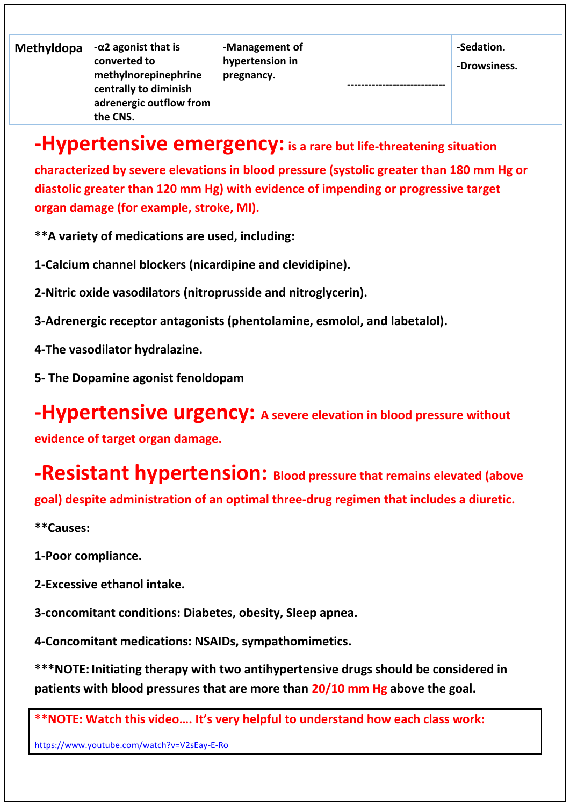| Methyldopa | $-\alpha$ 2 agonist that is<br>converted to<br>methylnorepinephrine<br>centrally to diminish<br>adrenergic outflow from<br>the CNS. | -Management of<br>hypertension in<br>pregnancy. |  | -Sedation.<br>-Drowsiness. |
|------------|-------------------------------------------------------------------------------------------------------------------------------------|-------------------------------------------------|--|----------------------------|
|------------|-------------------------------------------------------------------------------------------------------------------------------------|-------------------------------------------------|--|----------------------------|

### **-Hypertensive emergency:is a rare but life-threatening situation**

**characterized by severe elevations in blood pressure (systolic greater than 180 mm Hg or diastolic greater than 120 mm Hg) with evidence of impending or progressive target organ damage (for example, stroke, MI).**

**\*\*A variety of medications are used, including:**

**1-Calcium channel blockers (nicardipine and clevidipine).**

**2-Nitric oxide vasodilators (nitroprusside and nitroglycerin).**

**3-Adrenergic receptor antagonists (phentolamine, esmolol, and labetalol).**

**4-The vasodilator hydralazine.**

**5- The Dopamine agonist fenoldopam**

**-Hypertensive urgency: A severe elevation in blood pressure without** 

**evidence of target organ damage.**

**-Resistant hypertension: Blood pressure that remains elevated (above goal) despite administration of an optimal three-drug regimen that includes a diuretic.**

**\*\*Causes:**

**1-Poor compliance.**

**2-Excessive ethanol intake.**

**3-concomitant conditions: Diabetes, obesity, Sleep apnea.**

**4-Concomitant medications: NSAIDs, sympathomimetics.**

**\*\*\*NOTE: Initiating therapy with two antihypertensive drugs should be considered in patients with blood pressures that are more than 20/10 mm Hg above the goal.**

**\*\*NOTE: Watch this video…. It's very helpful to understand how each class work:**

<https://www.youtube.com/watch?v=V2sEay-E-Ro>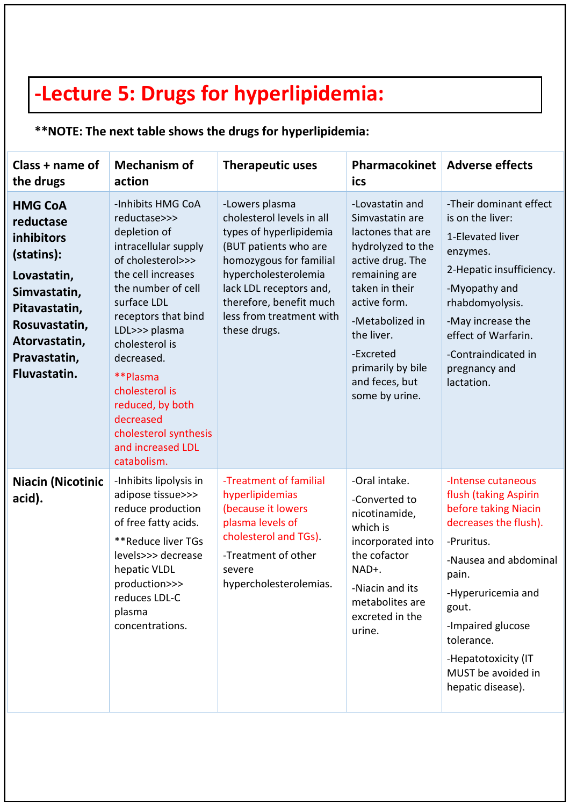## **-Lecture 5: Drugs for hyperlipidemia:**

### **\*\*NOTE: The next table shows the drugs for hyperlipidemia:**

| Class + name of<br>the drugs                                                                                                                                              | <b>Mechanism of</b><br>action                                                                                                                                                                                                                                                                                                                                 | <b>Therapeutic uses</b>                                                                                                                                                                                                                              | <b>Pharmacokinet</b><br>ics                                                                                                                                                                                                                                | <b>Adverse effects</b>                                                                                                                                                                                                                                                           |
|---------------------------------------------------------------------------------------------------------------------------------------------------------------------------|---------------------------------------------------------------------------------------------------------------------------------------------------------------------------------------------------------------------------------------------------------------------------------------------------------------------------------------------------------------|------------------------------------------------------------------------------------------------------------------------------------------------------------------------------------------------------------------------------------------------------|------------------------------------------------------------------------------------------------------------------------------------------------------------------------------------------------------------------------------------------------------------|----------------------------------------------------------------------------------------------------------------------------------------------------------------------------------------------------------------------------------------------------------------------------------|
| <b>HMG CoA</b><br>reductase<br>inhibitors<br>(statins):<br>Lovastatin,<br>Simvastatin,<br>Pitavastatin,<br>Rosuvastatin,<br>Atorvastatin,<br>Pravastatin,<br>Fluvastatin. | -Inhibits HMG CoA<br>reductase>>><br>depletion of<br>intracellular supply<br>of cholesterol>>><br>the cell increases<br>the number of cell<br>surface LDL<br>receptors that bind<br>LDL>>> plasma<br>cholesterol is<br>decreased.<br>**Plasma<br>cholesterol is<br>reduced, by both<br>decreased<br>cholesterol synthesis<br>and increased LDL<br>catabolism. | -Lowers plasma<br>cholesterol levels in all<br>types of hyperlipidemia<br>(BUT patients who are<br>homozygous for familial<br>hypercholesterolemia<br>lack LDL receptors and,<br>therefore, benefit much<br>less from treatment with<br>these drugs. | -Lovastatin and<br>Simvastatin are<br>lactones that are<br>hydrolyzed to the<br>active drug. The<br>remaining are<br>taken in their<br>active form.<br>-Metabolized in<br>the liver.<br>-Excreted<br>primarily by bile<br>and feces, but<br>some by urine. | -Their dominant effect<br>is on the liver:<br>1-Elevated liver<br>enzymes.<br>2-Hepatic insufficiency.<br>-Myopathy and<br>rhabdomyolysis.<br>-May increase the<br>effect of Warfarin.<br>-Contraindicated in<br>pregnancy and<br>lactation.                                     |
| <b>Niacin (Nicotinic</b><br>acid).                                                                                                                                        | -Inhibits lipolysis in<br>adipose tissue>>><br>reduce production<br>of free fatty acids.<br>**Reduce liver TGs<br>levels>>> decrease<br>hepatic VLDL<br>production>>><br>reduces LDL-C<br>plasma<br>concentrations.                                                                                                                                           | -Treatment of familial<br>hyperlipidemias<br>(because it lowers<br>plasma levels of<br>cholesterol and TGs).<br>-Treatment of other<br>severe<br>hypercholesterolemias.                                                                              | -Oral intake.<br>-Converted to<br>nicotinamide,<br>which is<br>incorporated into<br>the cofactor<br>NAD+.<br>-Niacin and its<br>metabolites are<br>excreted in the<br>urine.                                                                               | -Intense cutaneous<br>flush (taking Aspirin<br>before taking Niacin<br>decreases the flush).<br>-Pruritus.<br>-Nausea and abdominal<br>pain.<br>-Hyperuricemia and<br>gout.<br>-Impaired glucose<br>tolerance.<br>-Hepatotoxicity (IT<br>MUST be avoided in<br>hepatic disease). |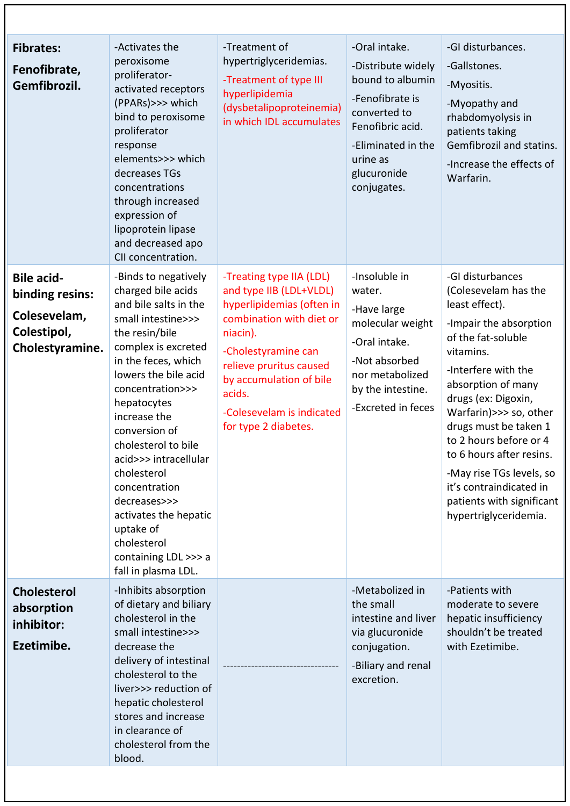| <b>Fibrates:</b><br>Fenofibrate,<br>Gemfibrozil.                                       | -Activates the<br>peroxisome<br>proliferator-<br>activated receptors<br>(PPARs)>>> which<br>bind to peroxisome<br>proliferator<br>response<br>elements>>> which<br>decreases TGs<br>concentrations<br>through increased<br>expression of<br>lipoprotein lipase<br>and decreased apo<br>CII concentration.                                                                                                                                                 | -Treatment of<br>hypertriglyceridemias.<br>-Treatment of type III<br>hyperlipidemia<br>(dysbetalipoproteinemia)<br>in which IDL accumulates                                                                                                                          | -Oral intake.<br>-Distribute widely<br>bound to albumin<br>-Fenofibrate is<br>converted to<br>Fenofibric acid.<br>-Eliminated in the<br>urine as<br>glucuronide<br>conjugates. | -GI disturbances.<br>-Gallstones.<br>-Myositis.<br>-Myopathy and<br>rhabdomyolysis in<br>patients taking<br>Gemfibrozil and statins.<br>-Increase the effects of<br>Warfarin.                                                                                                                                                                                                                                     |
|----------------------------------------------------------------------------------------|-----------------------------------------------------------------------------------------------------------------------------------------------------------------------------------------------------------------------------------------------------------------------------------------------------------------------------------------------------------------------------------------------------------------------------------------------------------|----------------------------------------------------------------------------------------------------------------------------------------------------------------------------------------------------------------------------------------------------------------------|--------------------------------------------------------------------------------------------------------------------------------------------------------------------------------|-------------------------------------------------------------------------------------------------------------------------------------------------------------------------------------------------------------------------------------------------------------------------------------------------------------------------------------------------------------------------------------------------------------------|
| <b>Bile acid-</b><br>binding resins:<br>Colesevelam,<br>Colestipol,<br>Cholestyramine. | -Binds to negatively<br>charged bile acids<br>and bile salts in the<br>small intestine>>><br>the resin/bile<br>complex is excreted<br>in the feces, which<br>lowers the bile acid<br>concentration>>><br>hepatocytes<br>increase the<br>conversion of<br>cholesterol to bile<br>acid>>> intracellular<br>cholesterol<br>concentration<br>decreases>>><br>activates the hepatic<br>uptake of<br>cholesterol<br>containing LDL >>> a<br>fall in plasma LDL. | -Treating type IIA (LDL)<br>and type IIB (LDL+VLDL)<br>hyperlipidemias (often in<br>combination with diet or<br>niacin).<br>-Cholestyramine can<br>relieve pruritus caused<br>by accumulation of bile<br>acids.<br>-Colesevelam is indicated<br>for type 2 diabetes. | -Insoluble in<br>water.<br>-Have large<br>molecular weight<br>-Oral intake.<br>-Not absorbed<br>nor metabolized<br>by the intestine.<br>-Excreted in feces                     | -GI disturbances<br>(Colesevelam has the<br>least effect).<br>-Impair the absorption<br>of the fat-soluble<br>vitamins.<br>-Interfere with the<br>absorption of many<br>drugs (ex: Digoxin,<br>Warfarin)>>> so, other<br>drugs must be taken 1<br>to 2 hours before or 4<br>to 6 hours after resins.<br>-May rise TGs levels, so<br>it's contraindicated in<br>patients with significant<br>hypertriglyceridemia. |
| <b>Cholesterol</b><br>absorption<br>inhibitor:<br>Ezetimibe.                           | -Inhibits absorption<br>of dietary and biliary<br>cholesterol in the<br>small intestine>>><br>decrease the<br>delivery of intestinal<br>cholesterol to the<br>liver>>> reduction of<br>hepatic cholesterol<br>stores and increase<br>in clearance of<br>cholesterol from the<br>blood.                                                                                                                                                                    |                                                                                                                                                                                                                                                                      | -Metabolized in<br>the small<br>intestine and liver<br>via glucuronide<br>conjugation.<br>-Biliary and renal<br>excretion.                                                     | -Patients with<br>moderate to severe<br>hepatic insufficiency<br>shouldn't be treated<br>with Ezetimibe.                                                                                                                                                                                                                                                                                                          |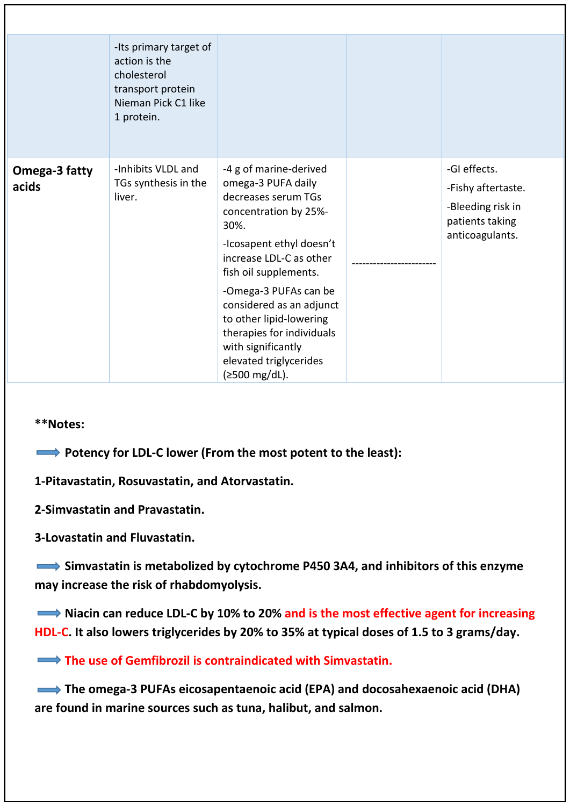|                        | -Its primary target of<br>action is the<br>cholesterol<br>transport protein<br>Nieman Pick C1 like<br>1 protein. |                                                                                                                                                                                                                                                                                                                                                                    |                                                                                               |
|------------------------|------------------------------------------------------------------------------------------------------------------|--------------------------------------------------------------------------------------------------------------------------------------------------------------------------------------------------------------------------------------------------------------------------------------------------------------------------------------------------------------------|-----------------------------------------------------------------------------------------------|
| Omega-3 fatty<br>acids | -Inhibits VLDL and<br>TGs synthesis in the<br>liver.                                                             | -4 g of marine-derived<br>omega-3 PUFA daily<br>decreases serum TGs<br>concentration by 25%-<br>30%.<br>-Icosapent ethyl doesn't<br>increase LDL-C as other<br>fish oil supplements.<br>-Omega-3 PUFAs can be<br>considered as an adjunct<br>to other lipid-lowering<br>therapies for individuals<br>with significantly<br>elevated triglycerides<br>(≥500 mg/dL). | -GI effects.<br>-Fishy aftertaste.<br>-Bleeding risk in<br>patients taking<br>anticoagulants. |

**Potency for LDL-C lower (From the most potent to the least):** 

**1-Pitavastatin, Rosuvastatin, and Atorvastatin.**

**2-Simvastatin and Pravastatin.**

**3-Lovastatin and Fluvastatin.**

 **Simvastatin is metabolized by cytochrome P450 3A4, and inhibitors of this enzyme may increase the risk of rhabdomyolysis.**

■ Niacin can reduce LDL-C by 10% to 20% and is the most effective agent for increasing **HDL-C. It also lowers triglycerides by 20% to 35% at typical doses of 1.5 to 3 grams/day.**

**The use of Gemfibrozil is contraindicated with Simvastatin.** 

**The omega-3 PUFAs eicosapentaenoic acid (EPA) and docosahexaenoic acid (DHA) are found in marine sources such as tuna, halibut, and salmon.**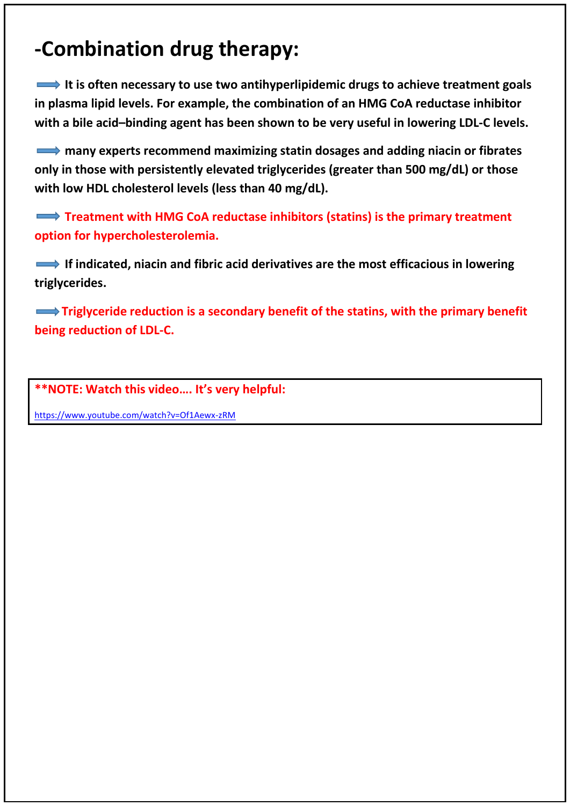## **-Combination drug therapy:**

 **It is often necessary to use two antihyperlipidemic drugs to achieve treatment goals in plasma lipid levels. For example, the combination of an HMG CoA reductase inhibitor with a bile acid–binding agent has been shown to be very useful in lowering LDL-C levels.**

 **many experts recommend maximizing statin dosages and adding niacin or fibrates only in those with persistently elevated triglycerides (greater than 500 mg/dL) or those with low HDL cholesterol levels (less than 40 mg/dL).**

**Treatment with HMG CoA reductase inhibitors (statins) is the primary treatment option for hypercholesterolemia.**

**If indicated, niacin and fibric acid derivatives are the most efficacious in lowering triglycerides.**

**Triglyceride reduction is a secondary benefit of the statins, with the primary benefit being reduction of LDL-C.**

**\*\*NOTE: Watch this video…. It's very helpful:**

<https://www.youtube.com/watch?v=Of1Aewx-zRM>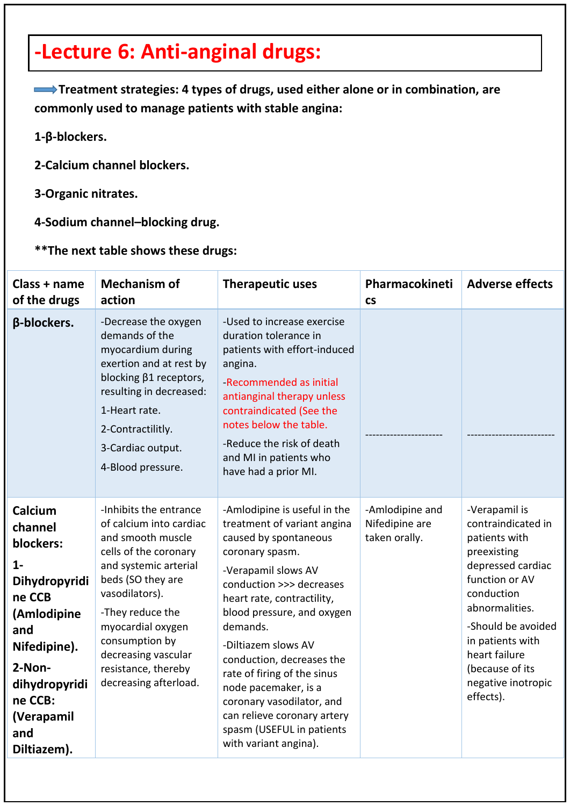## **-Lecture 6: Anti-anginal drugs:**

 **Treatment strategies: 4 types of drugs, used either alone or in combination, are commonly used to manage patients with stable angina:**

**1-β-blockers.**

- **2-Calcium channel blockers.**
- **3-Organic nitrates.**
- **4-Sodium channel–blocking drug.**

### **\*\*The next table shows these drugs:**

| Class + name<br>of the drugs                                                                                                                                                        | <b>Mechanism of</b><br>action                                                                                                                                                                                                                                                                     | <b>Therapeutic uses</b>                                                                                                                                                                                                                                                                                                                                                                                                                                         | Pharmacokineti<br><b>CS</b>                        | <b>Adverse effects</b>                                                                                                                                                                                                                                      |
|-------------------------------------------------------------------------------------------------------------------------------------------------------------------------------------|---------------------------------------------------------------------------------------------------------------------------------------------------------------------------------------------------------------------------------------------------------------------------------------------------|-----------------------------------------------------------------------------------------------------------------------------------------------------------------------------------------------------------------------------------------------------------------------------------------------------------------------------------------------------------------------------------------------------------------------------------------------------------------|----------------------------------------------------|-------------------------------------------------------------------------------------------------------------------------------------------------------------------------------------------------------------------------------------------------------------|
| β-blockers.                                                                                                                                                                         | -Decrease the oxygen<br>demands of the<br>myocardium during<br>exertion and at rest by<br>blocking β1 receptors,<br>resulting in decreased:<br>1-Heart rate.<br>2-Contractilitly.<br>3-Cardiac output.<br>4-Blood pressure.                                                                       | -Used to increase exercise<br>duration tolerance in<br>patients with effort-induced<br>angina.<br>-Recommended as initial<br>antianginal therapy unless<br>contraindicated (See the<br>notes below the table.<br>-Reduce the risk of death<br>and MI in patients who<br>have had a prior MI.                                                                                                                                                                    |                                                    |                                                                                                                                                                                                                                                             |
| Calcium<br>channel<br>blockers:<br>$1 -$<br>Dihydropyridi<br>ne CCB<br>(Amlodipine<br>and<br>Nifedipine).<br>2-Non-<br>dihydropyridi<br>ne CCB:<br>(Verapamil<br>and<br>Diltiazem). | -Inhibits the entrance<br>of calcium into cardiac<br>and smooth muscle<br>cells of the coronary<br>and systemic arterial<br>beds (SO they are<br>vasodilators).<br>-They reduce the<br>myocardial oxygen<br>consumption by<br>decreasing vascular<br>resistance, thereby<br>decreasing afterload. | -Amlodipine is useful in the<br>treatment of variant angina<br>caused by spontaneous<br>coronary spasm.<br>-Verapamil slows AV<br>conduction >>> decreases<br>heart rate, contractility,<br>blood pressure, and oxygen<br>demands.<br>-Diltiazem slows AV<br>conduction, decreases the<br>rate of firing of the sinus<br>node pacemaker, is a<br>coronary vasodilator, and<br>can relieve coronary artery<br>spasm (USEFUL in patients<br>with variant angina). | -Amlodipine and<br>Nifedipine are<br>taken orally. | -Verapamil is<br>contraindicated in<br>patients with<br>preexisting<br>depressed cardiac<br>function or AV<br>conduction<br>abnormalities.<br>-Should be avoided<br>in patients with<br>heart failure<br>(because of its<br>negative inotropic<br>effects). |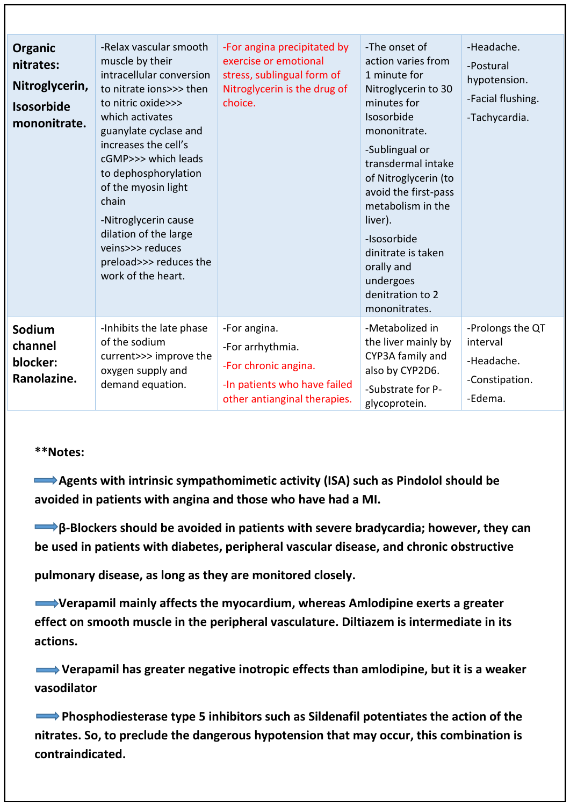| <b>Organic</b><br>nitrates:<br>Nitroglycerin,<br><b>Isosorbide</b><br>mononitrate. | -Relax vascular smooth<br>muscle by their<br>intracellular conversion<br>to nitrate ions>>> then<br>to nitric oxide>>><br>which activates<br>guanylate cyclase and<br>increases the cell's<br>cGMP>>> which leads<br>to dephosphorylation<br>of the myosin light<br>chain<br>-Nitroglycerin cause<br>dilation of the large<br>veins>>> reduces<br>preload>>> reduces the<br>work of the heart. | -For angina precipitated by<br>exercise or emotional<br>stress, sublingual form of<br>Nitroglycerin is the drug of<br>choice. | -The onset of<br>action varies from<br>1 minute for<br>Nitroglycerin to 30<br>minutes for<br>Isosorbide<br>mononitrate.<br>-Sublingual or<br>transdermal intake<br>of Nitroglycerin (to<br>avoid the first-pass<br>metabolism in the<br>liver).<br>-Isosorbide<br>dinitrate is taken<br>orally and<br>undergoes<br>denitration to 2<br>mononitrates. | -Headache.<br>-Postural<br>hypotension.<br>-Facial flushing.<br>-Tachycardia. |
|------------------------------------------------------------------------------------|------------------------------------------------------------------------------------------------------------------------------------------------------------------------------------------------------------------------------------------------------------------------------------------------------------------------------------------------------------------------------------------------|-------------------------------------------------------------------------------------------------------------------------------|------------------------------------------------------------------------------------------------------------------------------------------------------------------------------------------------------------------------------------------------------------------------------------------------------------------------------------------------------|-------------------------------------------------------------------------------|
| Sodium<br>channel<br>blocker:<br>Ranolazine.                                       | -Inhibits the late phase<br>of the sodium<br>current>>> improve the<br>oxygen supply and<br>demand equation.                                                                                                                                                                                                                                                                                   | -For angina.<br>-For arrhythmia.<br>-For chronic angina.<br>-In patients who have failed<br>other antianginal therapies.      | -Metabolized in<br>the liver mainly by<br>CYP3A family and<br>also by CYP2D6.<br>-Substrate for P-<br>glycoprotein.                                                                                                                                                                                                                                  | -Prolongs the QT<br>interval<br>-Headache.<br>-Constipation.<br>-Edema.       |

 **Agents with intrinsic sympathomimetic activity (ISA) such as Pindolol should be avoided in patients with angina and those who have had a MI.**

 **β-Blockers should be avoided in patients with severe bradycardia; however, they can be used in patients with diabetes, peripheral vascular disease, and chronic obstructive**

**pulmonary disease, as long as they are monitored closely.**

 **Verapamil mainly affects the myocardium, whereas Amlodipine exerts a greater effect on smooth muscle in the peripheral vasculature. Diltiazem is intermediate in its actions.**

 **Verapamil has greater negative inotropic effects than amlodipine, but it is a weaker vasodilator**

**Phosphodiesterase type 5 inhibitors such as Sildenafil potentiates the action of the nitrates. So, to preclude the dangerous hypotension that may occur, this combination is contraindicated.**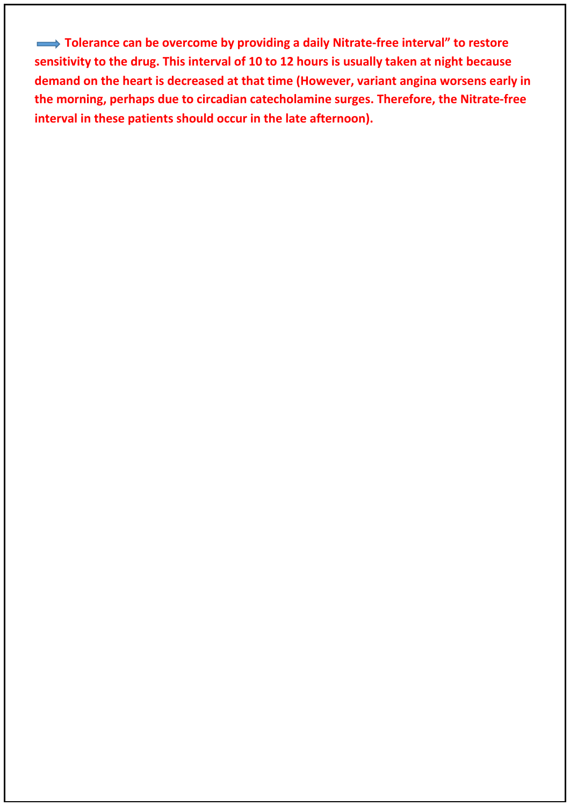**Tolerance can be overcome by providing a daily Nitrate-free interval" to restore sensitivity to the drug. This interval of 10 to 12 hours is usually taken at night because demand on the heart is decreased at that time (However, variant angina worsens early in the morning, perhaps due to circadian catecholamine surges. Therefore, the Nitrate-free interval in these patients should occur in the late afternoon).**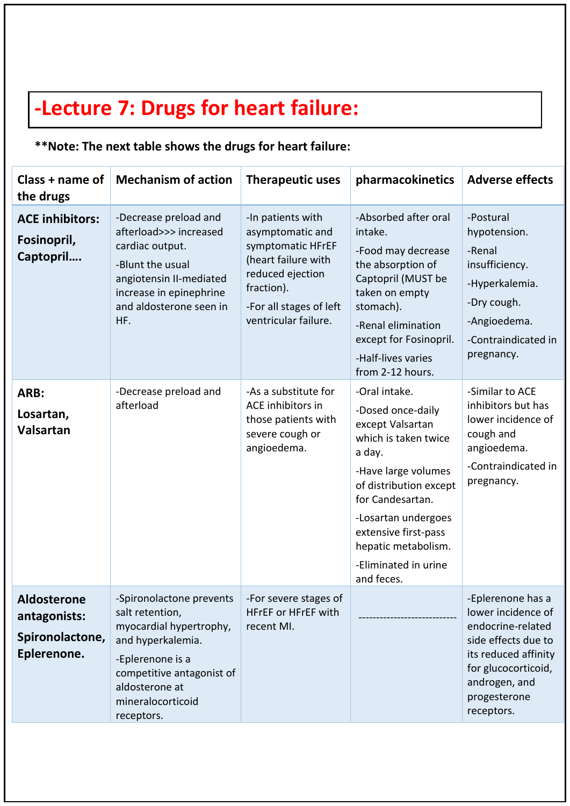# **-Lecture 7: Drugs for heart failure:**

### **\*\*Note: The next table shows the drugs for heart failure:**

| Class + name of<br>the drugs                                         | <b>Mechanism of action</b>                                                                                                                                                                        | <b>Therapeutic uses</b>                                                                                                                                                | pharmacokinetics                                                                                                                                                                                                                                                          | <b>Adverse effects</b>                                                                                                                                                            |
|----------------------------------------------------------------------|---------------------------------------------------------------------------------------------------------------------------------------------------------------------------------------------------|------------------------------------------------------------------------------------------------------------------------------------------------------------------------|---------------------------------------------------------------------------------------------------------------------------------------------------------------------------------------------------------------------------------------------------------------------------|-----------------------------------------------------------------------------------------------------------------------------------------------------------------------------------|
| <b>ACE inhibitors:</b><br>Fosinopril,<br>Captopril                   | -Decrease preload and<br>afterload>>> increased<br>cardiac output.<br>-Blunt the usual<br>angiotensin II-mediated<br>increase in epinephrine<br>and aldosterone seen in<br>HF.                    | -In patients with<br>asymptomatic and<br>symptomatic HFrEF<br>(heart failure with<br>reduced ejection<br>fraction).<br>-For all stages of left<br>ventricular failure. | -Absorbed after oral<br>intake.<br>-Food may decrease<br>the absorption of<br>Captopril (MUST be<br>taken on empty<br>stomach).<br>-Renal elimination<br>except for Fosinopril.<br>-Half-lives varies<br>from 2-12 hours.                                                 | -Postural<br>hypotension.<br>-Renal<br>insufficiency.<br>-Hyperkalemia.<br>-Dry cough.<br>-Angioedema.<br>-Contraindicated in<br>pregnancy.                                       |
| ARB:<br>Losartan,<br>Valsartan                                       | -Decrease preload and<br>afterload                                                                                                                                                                | -As a substitute for<br>ACE inhibitors in<br>those patients with<br>severe cough or<br>angioedema.                                                                     | -Oral intake.<br>-Dosed once-daily<br>except Valsartan<br>which is taken twice<br>a day.<br>-Have large volumes<br>of distribution except<br>for Candesartan.<br>-Losartan undergoes<br>extensive first-pass<br>hepatic metabolism.<br>-Eliminated in urine<br>and feces. | -Similar to ACE<br>inhibitors but has<br>lower incidence of<br>cough and<br>angioedema.<br>-Contraindicated in<br>pregnancy.                                                      |
| <b>Aldosterone</b><br>antagonists:<br>Spironolactone,<br>Eplerenone. | -Spironolactone prevents<br>salt retention,<br>myocardial hypertrophy,<br>and hyperkalemia.<br>-Eplerenone is a<br>competitive antagonist of<br>aldosterone at<br>mineralocorticoid<br>receptors. | -For severe stages of<br>HFrEF or HFrEF with<br>recent MI.                                                                                                             |                                                                                                                                                                                                                                                                           | -Eplerenone has a<br>lower incidence of<br>endocrine-related<br>side effects due to<br>its reduced affinity<br>for glucocorticoid,<br>androgen, and<br>progesterone<br>receptors. |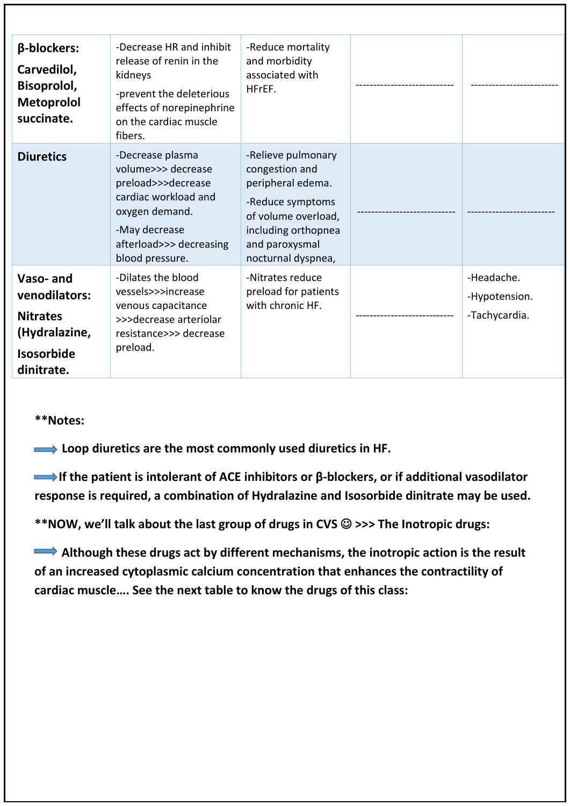| β-blockers:<br>Carvedilol,<br>Bisoprolol,<br><b>Metoprolol</b><br>succinate.                     | -Decrease HR and inhibit<br>release of renin in the<br>kidneys<br>-prevent the deleterious<br>effects of norepinephrine<br>on the cardiac muscle<br>fibers.           | -Reduce mortality<br>and morbidity<br>associated with<br>HFrEF.                                                                                                     |                                              |
|--------------------------------------------------------------------------------------------------|-----------------------------------------------------------------------------------------------------------------------------------------------------------------------|---------------------------------------------------------------------------------------------------------------------------------------------------------------------|----------------------------------------------|
| <b>Diuretics</b>                                                                                 | -Decrease plasma<br>volume>>> decrease<br>preload>>>decrease<br>cardiac workload and<br>oxygen demand.<br>-May decrease<br>afterload>>> decreasing<br>blood pressure. | -Relieve pulmonary<br>congestion and<br>peripheral edema.<br>-Reduce symptoms<br>of volume overload,<br>including orthopnea<br>and paroxysmal<br>nocturnal dyspnea, |                                              |
| Vaso-and<br>venodilators:<br><b>Nitrates</b><br>(Hydralazine,<br><b>Isosorbide</b><br>dinitrate. | -Dilates the blood<br>vessels>>>increase<br>venous capacitance<br>>>>decrease arteriolar<br>resistance>>> decrease<br>preload.                                        | -Nitrates reduce<br>preload for patients<br>with chronic HF.                                                                                                        | -Headache.<br>-Hypotension.<br>-Tachycardia. |

 **Loop diuretics are the most commonly used diuretics in HF.**

 **If the patient is intolerant of ACE inhibitors or β-blockers, or if additional vasodilator response is required, a combination of Hydralazine and Isosorbide dinitrate may be used.**

**\*\*NOW, we'll talk about the last group of drugs in CVS >>> The Inotropic drugs:** 

Although these drugs act by different mechanisms, the inotropic action is the result **of an increased cytoplasmic calcium concentration that enhances the contractility of cardiac muscle…. See the next table to know the drugs of this class:**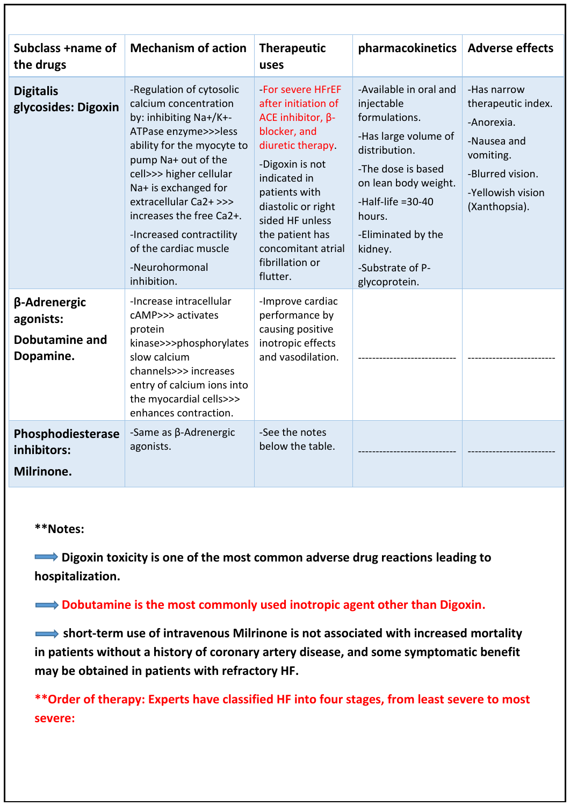| Subclass +name of<br>the drugs                                  | <b>Mechanism of action</b>                                                                                                                                                                                                                                                                                                                              | <b>Therapeutic</b><br>uses                                                                                                                                                                                                                                                     | pharmacokinetics   Adverse effects                                                                                                                                                                                                                  |                                                                                                                                       |
|-----------------------------------------------------------------|---------------------------------------------------------------------------------------------------------------------------------------------------------------------------------------------------------------------------------------------------------------------------------------------------------------------------------------------------------|--------------------------------------------------------------------------------------------------------------------------------------------------------------------------------------------------------------------------------------------------------------------------------|-----------------------------------------------------------------------------------------------------------------------------------------------------------------------------------------------------------------------------------------------------|---------------------------------------------------------------------------------------------------------------------------------------|
| <b>Digitalis</b><br>glycosides: Digoxin                         | -Regulation of cytosolic<br>calcium concentration<br>by: inhibiting Na+/K+-<br>ATPase enzyme>>>less<br>ability for the myocyte to<br>pump Na+ out of the<br>cell>>> higher cellular<br>Na+ is exchanged for<br>extracellular Ca2+ >>><br>increases the free Ca2+.<br>-Increased contractility<br>of the cardiac muscle<br>-Neurohormonal<br>inhibition. | -For severe HFrEF<br>after initiation of<br>ACE inhibitor, $\beta$ -<br>blocker, and<br>diuretic therapy.<br>-Digoxin is not<br>indicated in<br>patients with<br>diastolic or right<br>sided HF unless<br>the patient has<br>concomitant atrial<br>fibrillation or<br>flutter. | -Available in oral and<br>injectable<br>formulations.<br>-Has large volume of<br>distribution.<br>-The dose is based<br>on lean body weight.<br>-Half-life $=30-40$<br>hours.<br>-Eliminated by the<br>kidney.<br>-Substrate of P-<br>glycoprotein. | -Has narrow<br>therapeutic index.<br>-Anorexia.<br>-Nausea and<br>vomiting.<br>-Blurred vision.<br>-Yellowish vision<br>(Xanthopsia). |
| β-Adrenergic<br>agonists:<br><b>Dobutamine and</b><br>Dopamine. | -Increase intracellular<br>cAMP>>> activates<br>protein<br>kinase>>>phosphorylates<br>slow calcium<br>channels>>> increases<br>entry of calcium ions into<br>the myocardial cells>>><br>enhances contraction.                                                                                                                                           | -Improve cardiac<br>performance by<br>causing positive<br>inotropic effects<br>and vasodilation.                                                                                                                                                                               |                                                                                                                                                                                                                                                     |                                                                                                                                       |
| Phosphodiesterase<br>inhibitors:<br>Milrinone.                  | -Same as $\beta$ -Adrenergic<br>agonists.                                                                                                                                                                                                                                                                                                               | -See the notes<br>below the table.                                                                                                                                                                                                                                             |                                                                                                                                                                                                                                                     |                                                                                                                                       |

**■** Digoxin toxicity is one of the most common adverse drug reactions leading to **hospitalization.**

### **EXECUTE:** Dobutamine is the most commonly used inotropic agent other than Digoxin.

 $\rightarrow$  **short-term use of intravenous Milrinone is not associated with increased mortality in patients without a history of coronary artery disease, and some symptomatic benefit may be obtained in patients with refractory HF.**

**\*\*Order of therapy: Experts have classified HF into four stages, from least severe to most severe:**